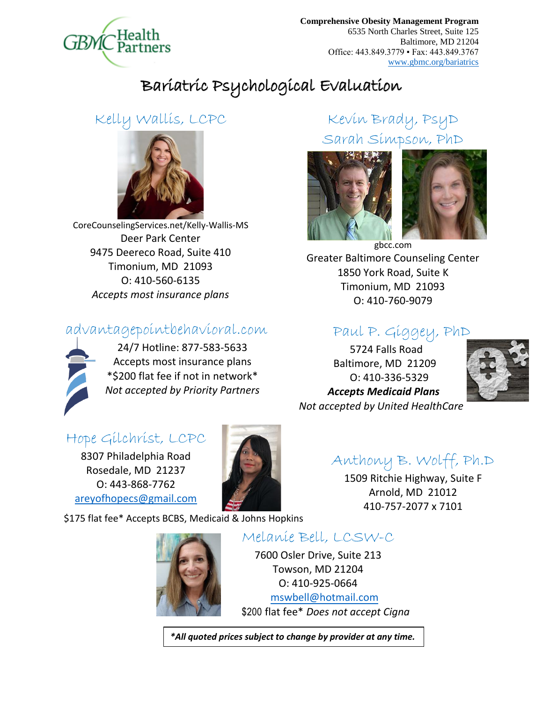

**Comprehensive Obesity Management Program** 6535 North Charles Street, Suite 125 Baltimore, MD 21204 Office: 443.849.3779 ▪ Fax: 443.849.3767 [www.gbmc.org/bariatrics](http://www.gbmc.org/bariatrics)

# Bariatric Psychological Evaluation

### Kelly Wallis, LCPC



CoreCounselingServices.net/Kelly-Wallis-MS Deer Park Center 9475 Deereco Road, Suite 410 Timonium, MD 21093 O: 410-560-6135 *Accepts most insurance plans*

#### advantagepointbehavioral.com



24/7 Hotline: 877-583-5633 Accepts most insurance plans \*\$200 flat fee if not in network\* *Not accepted by Priority Partners*

## Kevin Brady, PsyD Sarah Simpson, PhD





gbcc.com Greater Baltimore Counseling Center 1850 York Road, Suite K Timonium, MD 21093 O: 410-760-9079

#### Paul P. Giggey, PhD

5724 Falls Road Baltimore, MD 21209 O: 410-336-5329  *Accepts Medicaid Plans Not accepted by United HealthCare*



### Hope Gilchrist, LCPC

8307 Philadelphia Road Rosedale, MD 21237 O: 443-868-7762 [areyofhopecs@gmail.com](mailto:areyofhopecs@gmail.com)



## Anthony B. Wolff, Ph.D

1509 Ritchie Highway, Suite F Arnold, MD 21012 410-757-2077 x 7101

\$175 flat fee\* Accepts BCBS, Medicaid & Johns Hopkins



#### Melanie Bell, LCSW-C

7600 Osler Drive, Suite 213 Towson, MD 21204 O: 410-925-0664 [mswbell@hotmail.com](mailto:mswbell@hotmail.com) \$200 flat fee\* *Does not accept Cigna* 

*\*All quoted prices subject to change by provider at any time.*